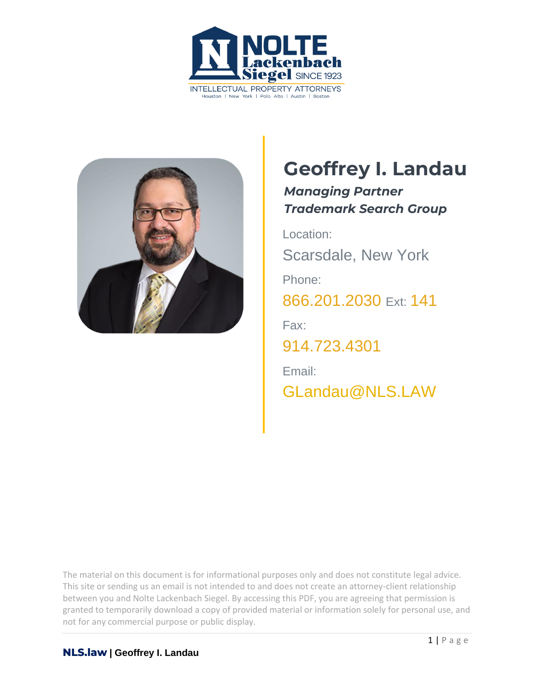



## **Geoffrey I. Landau**

*Managing Partner Trademark Search Group*

Location: Scarsdale, New York Phone: 866.201.2030 Ext: 141 Fax: 914.723.4301 Email: [GLandau@NLS.LAW](mailto:GLandau@NLS.LAW)

The material on this document is for informational purposes only and does not constitute legal advice. This site or sending us an email is not intended to and does not create an attorney-client relationship between you and Nolte Lackenbach Siegel. By accessing this PDF, you are agreeing that permission is granted to temporarily download a copy of provided material or information solely for personal use, and not for any commercial purpose or public display.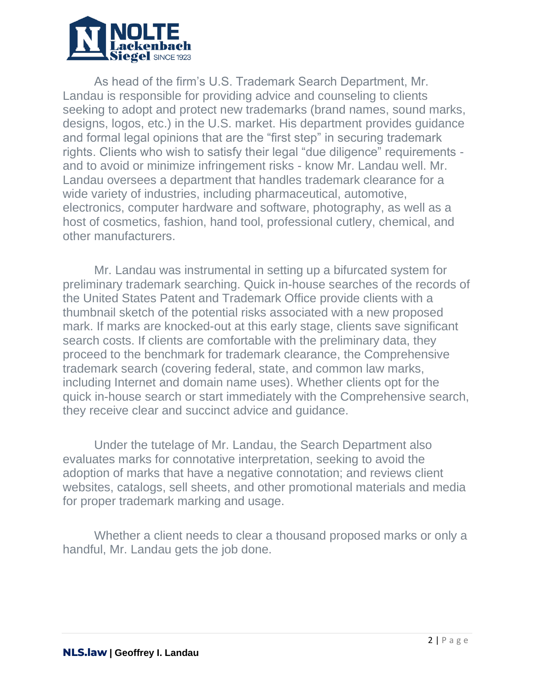

As head of the firm's U.S. Trademark Search Department, Mr. Landau is responsible for providing advice and counseling to clients seeking to adopt and protect new trademarks (brand names, sound marks, designs, logos, etc.) in the U.S. market. His department provides guidance and formal legal opinions that are the "first step" in securing trademark rights. Clients who wish to satisfy their legal "due diligence" requirements and to avoid or minimize infringement risks - know Mr. Landau well. Mr. Landau oversees a department that handles trademark clearance for a wide variety of industries, including pharmaceutical, automotive, electronics, computer hardware and software, photography, as well as a host of cosmetics, fashion, hand tool, professional cutlery, chemical, and other manufacturers.

Mr. Landau was instrumental in setting up a bifurcated system for preliminary trademark searching. Quick in-house searches of the records of the United States Patent and Trademark Office provide clients with a thumbnail sketch of the potential risks associated with a new proposed mark. If marks are knocked-out at this early stage, clients save significant search costs. If clients are comfortable with the preliminary data, they proceed to the benchmark for trademark clearance, the Comprehensive trademark search (covering federal, state, and common law marks, including Internet and domain name uses). Whether clients opt for the quick in-house search or start immediately with the Comprehensive search, they receive clear and succinct advice and guidance.

Under the tutelage of Mr. Landau, the Search Department also evaluates marks for connotative interpretation, seeking to avoid the adoption of marks that have a negative connotation; and reviews client websites, catalogs, sell sheets, and other promotional materials and media for proper trademark marking and usage.

Whether a client needs to clear a thousand proposed marks or only a handful, Mr. Landau gets the job done.